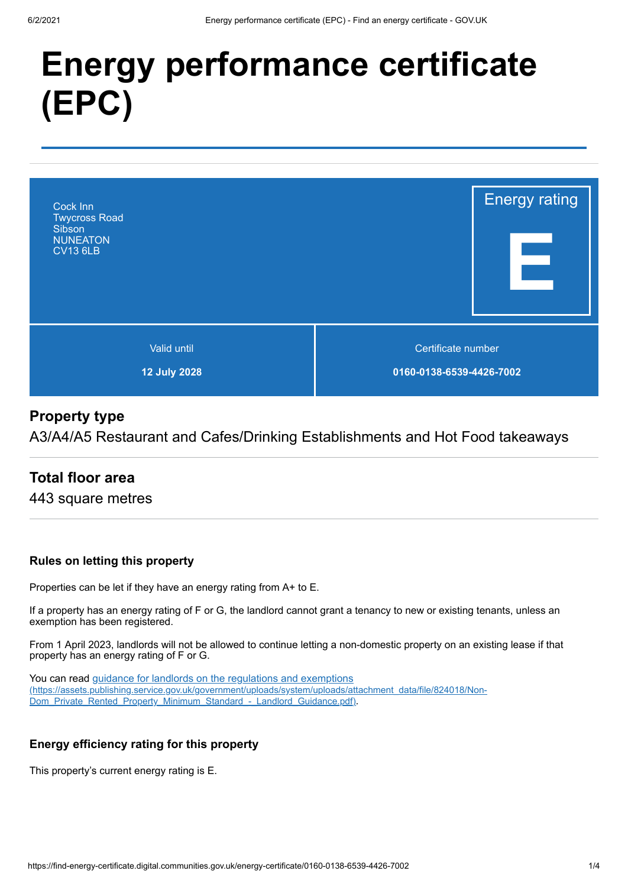# **Energy performance certificate (EPC)**



# **Property type**

A3/A4/A5 Restaurant and Cafes/Drinking Establishments and Hot Food takeaways

# **Total floor area**

443 square metres

### **Rules on letting this property**

Properties can be let if they have an energy rating from A+ to E.

If a property has an energy rating of F or G, the landlord cannot grant a tenancy to new or existing tenants, unless an exemption has been registered.

From 1 April 2023, landlords will not be allowed to continue letting a non-domestic property on an existing lease if that property has an energy rating of F or G.

You can read guidance for landlords on the regulations and exemptions [\(https://assets.publishing.service.gov.uk/government/uploads/system/uploads/attachment\\_data/file/824018/Non-](https://assets.publishing.service.gov.uk/government/uploads/system/uploads/attachment_data/file/824018/Non-Dom_Private_Rented_Property_Minimum_Standard_-_Landlord_Guidance.pdf)Dom\_Private\_Rented\_Property\_Minimum\_Standard\_-\_Landlord\_Guidance.pdf).

### **Energy efficiency rating for this property**

This property's current energy rating is E.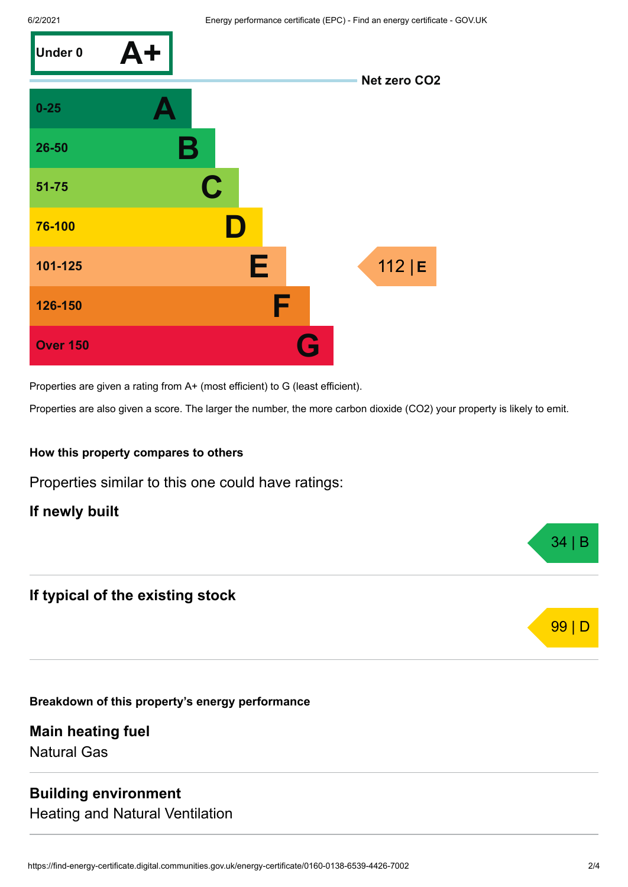

Properties are given a rating from A+ (most efficient) to G (least efficient).

Properties are also given a score. The larger the number, the more carbon dioxide (CO2) your property is likely to emit.

#### **How this property compares to others**

Properties similar to this one could have ratings:

**If newly built**

### **If typical of the existing stock**

**Breakdown of this property's energy performance**

**Main heating fuel** Natural Gas

### **Building environment**

Heating and Natural Ventilation



34 | B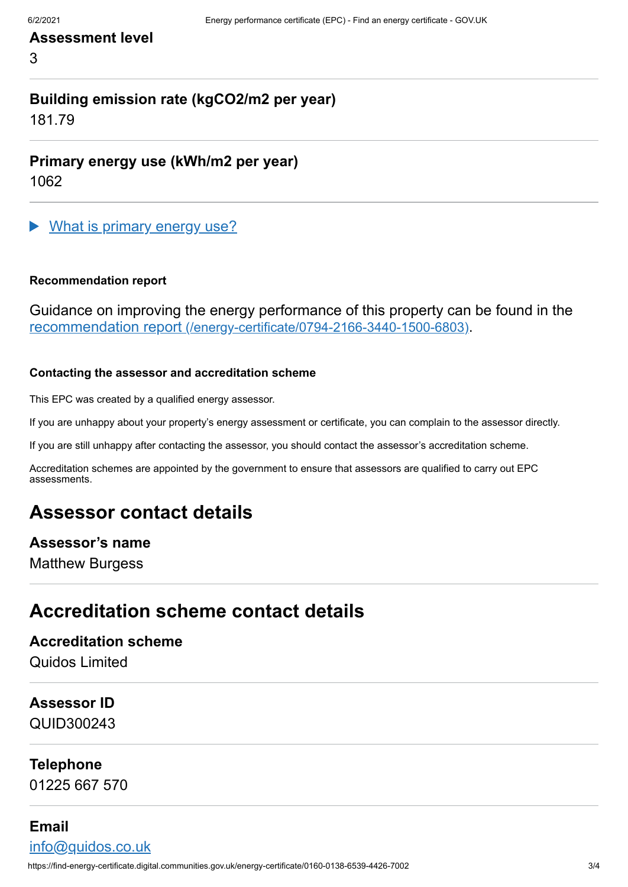# **Assessment level**

3

# **Building emission rate (kgCO2/m2 per year)**

181.79

**Primary energy use (kWh/m2 per year)**

1062

What is primary energy use?

#### **Recommendation report**

Guidance on improving the energy performance of this property can be found in the recommendation report [\(/energy-certificate/0794-2166-3440-1500-6803\)](https://find-energy-certificate.digital.communities.gov.uk/energy-certificate/0794-2166-3440-1500-6803).

#### **Contacting the assessor and accreditation scheme**

This EPC was created by a qualified energy assessor.

If you are unhappy about your property's energy assessment or certificate, you can complain to the assessor directly.

If you are still unhappy after contacting the assessor, you should contact the assessor's accreditation scheme.

Accreditation schemes are appointed by the government to ensure that assessors are qualified to carry out EPC assessments.

# **Assessor contact details**

### **Assessor's name**

Matthew Burgess

# **Accreditation scheme contact details**

### **Accreditation scheme**

Quidos Limited

### **Assessor ID**

QUID300243

### **Telephone**

01225 667 570

### **Email**

[info@quidos.co.uk](mailto:info@quidos.co.uk)